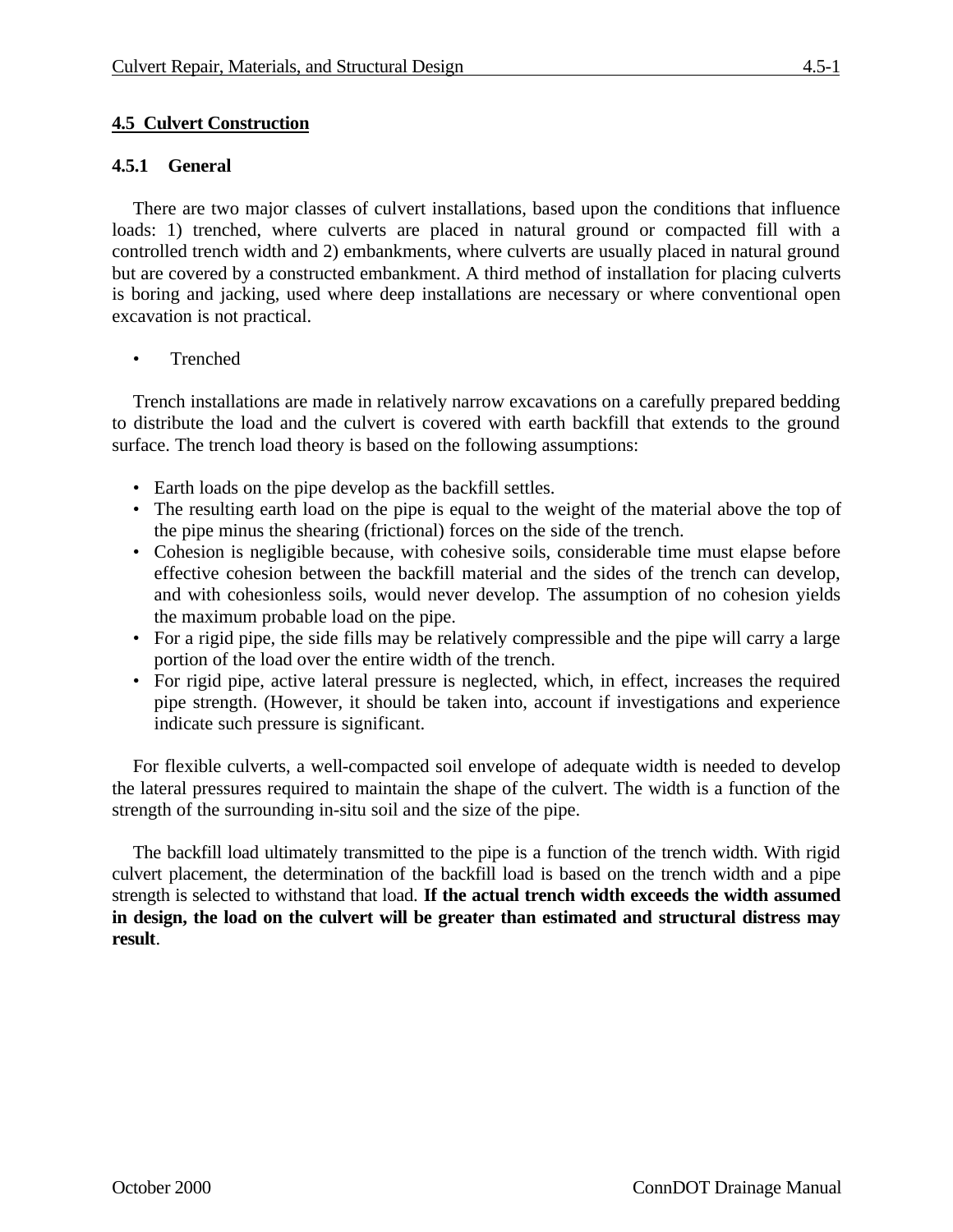# **4.5.1 General**

There are two major classes of culvert installations, based upon the conditions that influence loads: 1) trenched, where culverts are placed in natural ground or compacted fill with a controlled trench width and 2) embankments, where culverts are usually placed in natural ground but are covered by a constructed embankment. A third method of installation for placing culverts is boring and jacking, used where deep installations are necessary or where conventional open excavation is not practical.

• Trenched

Trench installations are made in relatively narrow excavations on a carefully prepared bedding to distribute the load and the culvert is covered with earth backfill that extends to the ground surface. The trench load theory is based on the following assumptions:

- Earth loads on the pipe develop as the backfill settles.
- The resulting earth load on the pipe is equal to the weight of the material above the top of the pipe minus the shearing (frictional) forces on the side of the trench.
- Cohesion is negligible because, with cohesive soils, considerable time must elapse before effective cohesion between the backfill material and the sides of the trench can develop, and with cohesionless soils, would never develop. The assumption of no cohesion yields the maximum probable load on the pipe.
- For a rigid pipe, the side fills may be relatively compressible and the pipe will carry a large portion of the load over the entire width of the trench.
- For rigid pipe, active lateral pressure is neglected, which, in effect, increases the required pipe strength. (However, it should be taken into, account if investigations and experience indicate such pressure is significant.

For flexible culverts, a well-compacted soil envelope of adequate width is needed to develop the lateral pressures required to maintain the shape of the culvert. The width is a function of the strength of the surrounding in-situ soil and the size of the pipe.

The backfill load ultimately transmitted to the pipe is a function of the trench width. With rigid culvert placement, the determination of the backfill load is based on the trench width and a pipe strength is selected to withstand that load. **If the actual trench width exceeds the width assumed in design, the load on the culvert will be greater than estimated and structural distress may result**.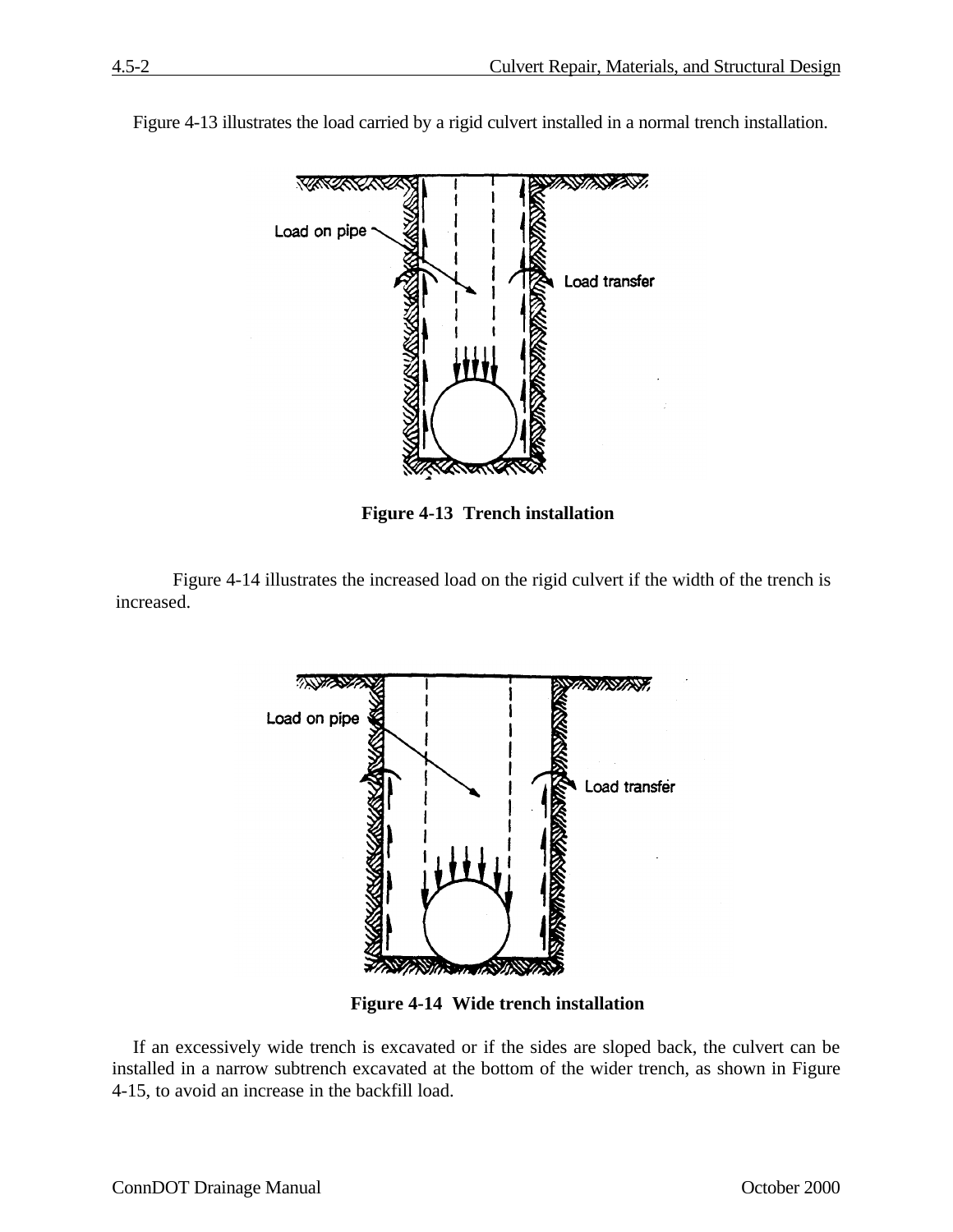

Figure 4-13 illustrates the load carried by a rigid culvert installed in a normal trench installation.

**Figure 4-13 Trench installation**

Figure 4-14 illustrates the increased load on the rigid culvert if the width of the trench is increased.



**Figure 4-14 Wide trench installation**

If an excessively wide trench is excavated or if the sides are sloped back, the culvert can be installed in a narrow subtrench excavated at the bottom of the wider trench, as shown in Figure 4-15, to avoid an increase in the backfill load.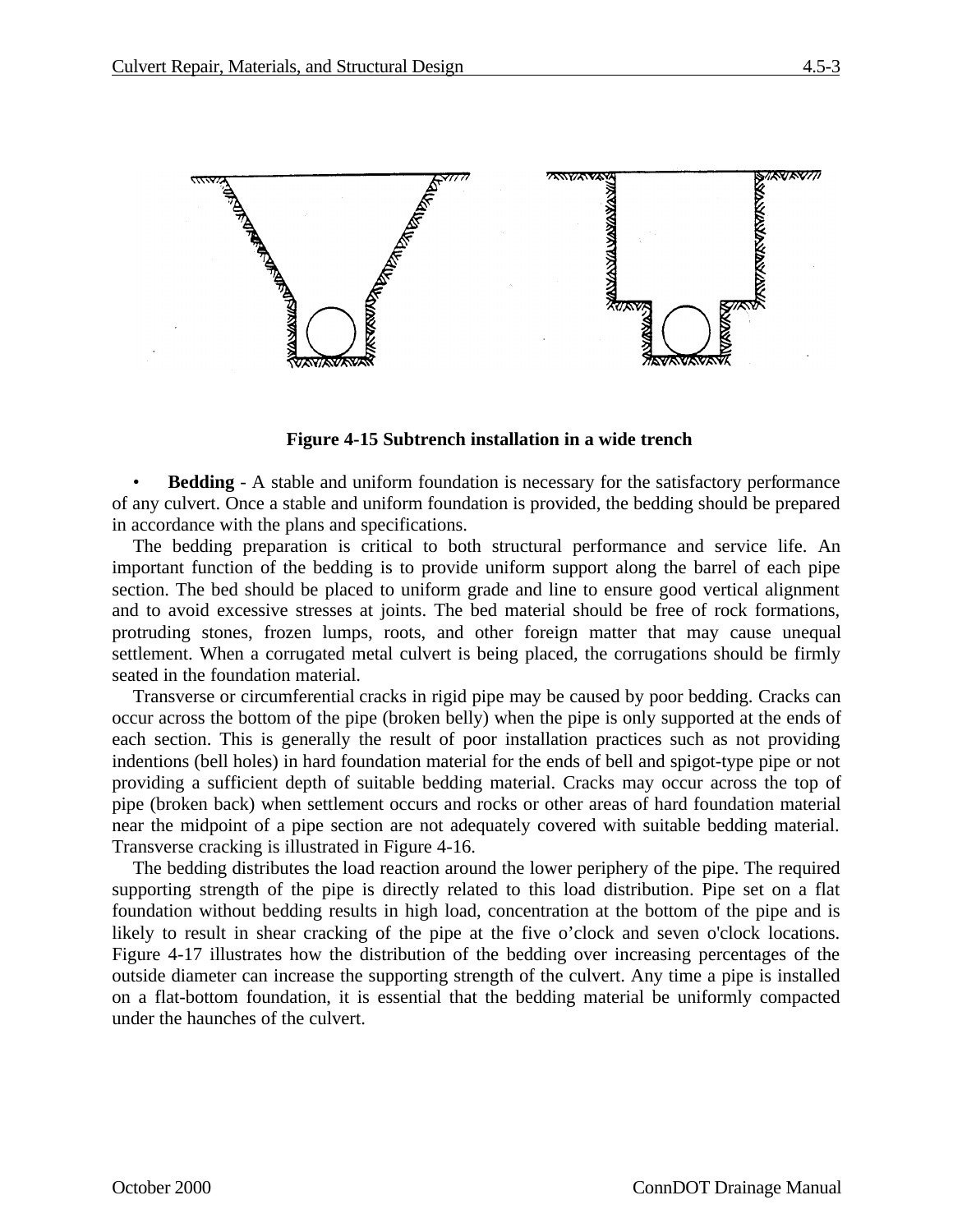

**Figure 4-15 Subtrench installation in a wide trench**

• **Bedding** - A stable and uniform foundation is necessary for the satisfactory performance of any culvert. Once a stable and uniform foundation is provided, the bedding should be prepared in accordance with the plans and specifications.

The bedding preparation is critical to both structural performance and service life. An important function of the bedding is to provide uniform support along the barrel of each pipe section. The bed should be placed to uniform grade and line to ensure good vertical alignment and to avoid excessive stresses at joints. The bed material should be free of rock formations, protruding stones, frozen lumps, roots, and other foreign matter that may cause unequal settlement. When a corrugated metal culvert is being placed, the corrugations should be firmly seated in the foundation material.

Transverse or circumferential cracks in rigid pipe may be caused by poor bedding. Cracks can occur across the bottom of the pipe (broken belly) when the pipe is only supported at the ends of each section. This is generally the result of poor installation practices such as not providing indentions (bell holes) in hard foundation material for the ends of bell and spigot-type pipe or not providing a sufficient depth of suitable bedding material. Cracks may occur across the top of pipe (broken back) when settlement occurs and rocks or other areas of hard foundation material near the midpoint of a pipe section are not adequately covered with suitable bedding material. Transverse cracking is illustrated in Figure 4-16.

The bedding distributes the load reaction around the lower periphery of the pipe. The required supporting strength of the pipe is directly related to this load distribution. Pipe set on a flat foundation without bedding results in high load, concentration at the bottom of the pipe and is likely to result in shear cracking of the pipe at the five o'clock and seven o'clock locations. Figure 4-17 illustrates how the distribution of the bedding over increasing percentages of the outside diameter can increase the supporting strength of the culvert. Any time a pipe is installed on a flat-bottom foundation, it is essential that the bedding material be uniformly compacted under the haunches of the culvert.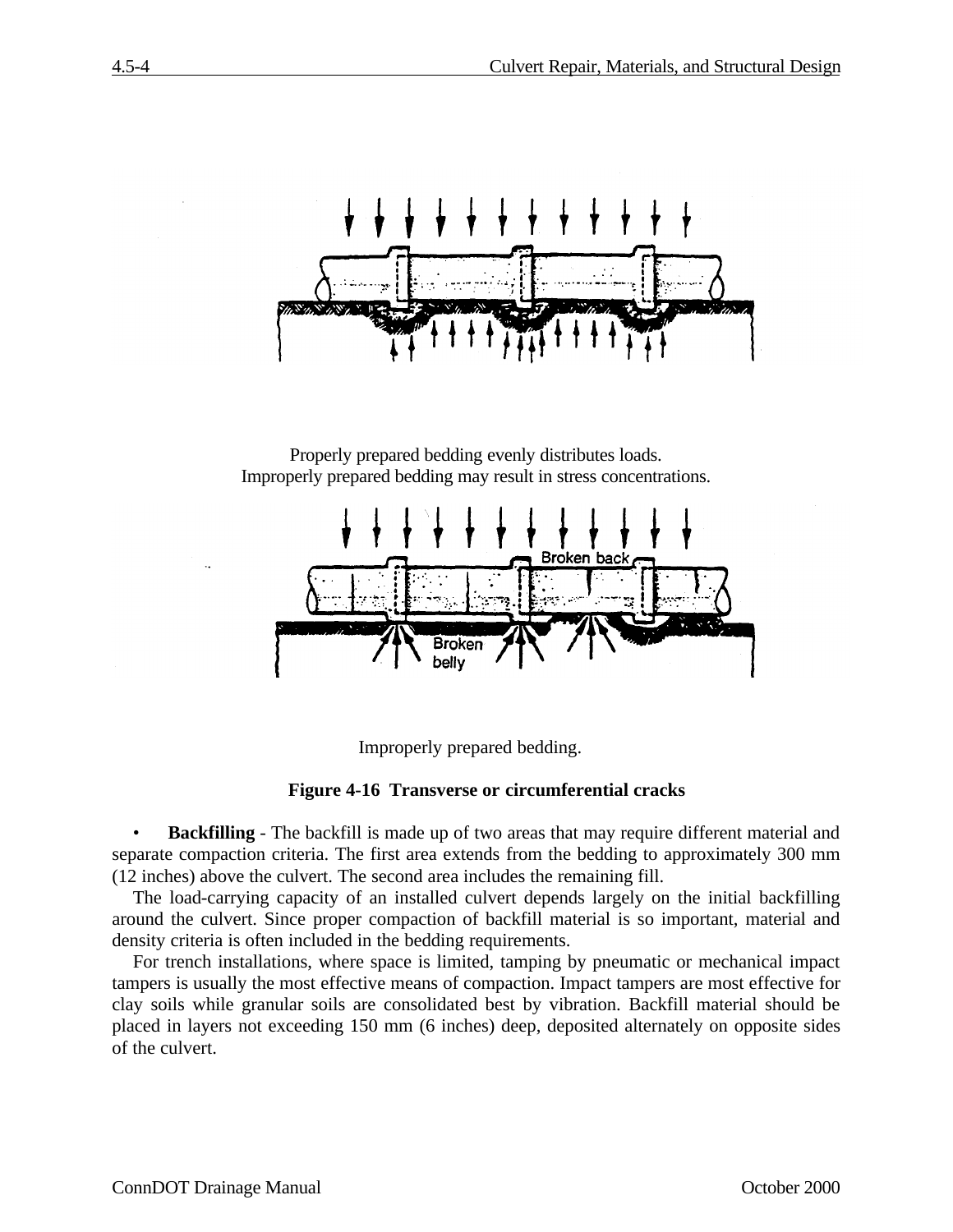

Properly prepared bedding evenly distributes loads. Improperly prepared bedding may result in stress concentrations.



Improperly prepared bedding.

**Figure 4-16 Transverse or circumferential cracks**

• **Backfilling** - The backfill is made up of two areas that may require different material and separate compaction criteria. The first area extends from the bedding to approximately 300 mm (12 inches) above the culvert. The second area includes the remaining fill.

The load-carrying capacity of an installed culvert depends largely on the initial backfilling around the culvert. Since proper compaction of backfill material is so important, material and density criteria is often included in the bedding requirements.

For trench installations, where space is limited, tamping by pneumatic or mechanical impact tampers is usually the most effective means of compaction. Impact tampers are most effective for clay soils while granular soils are consolidated best by vibration. Backfill material should be placed in layers not exceeding 150 mm (6 inches) deep, deposited alternately on opposite sides of the culvert.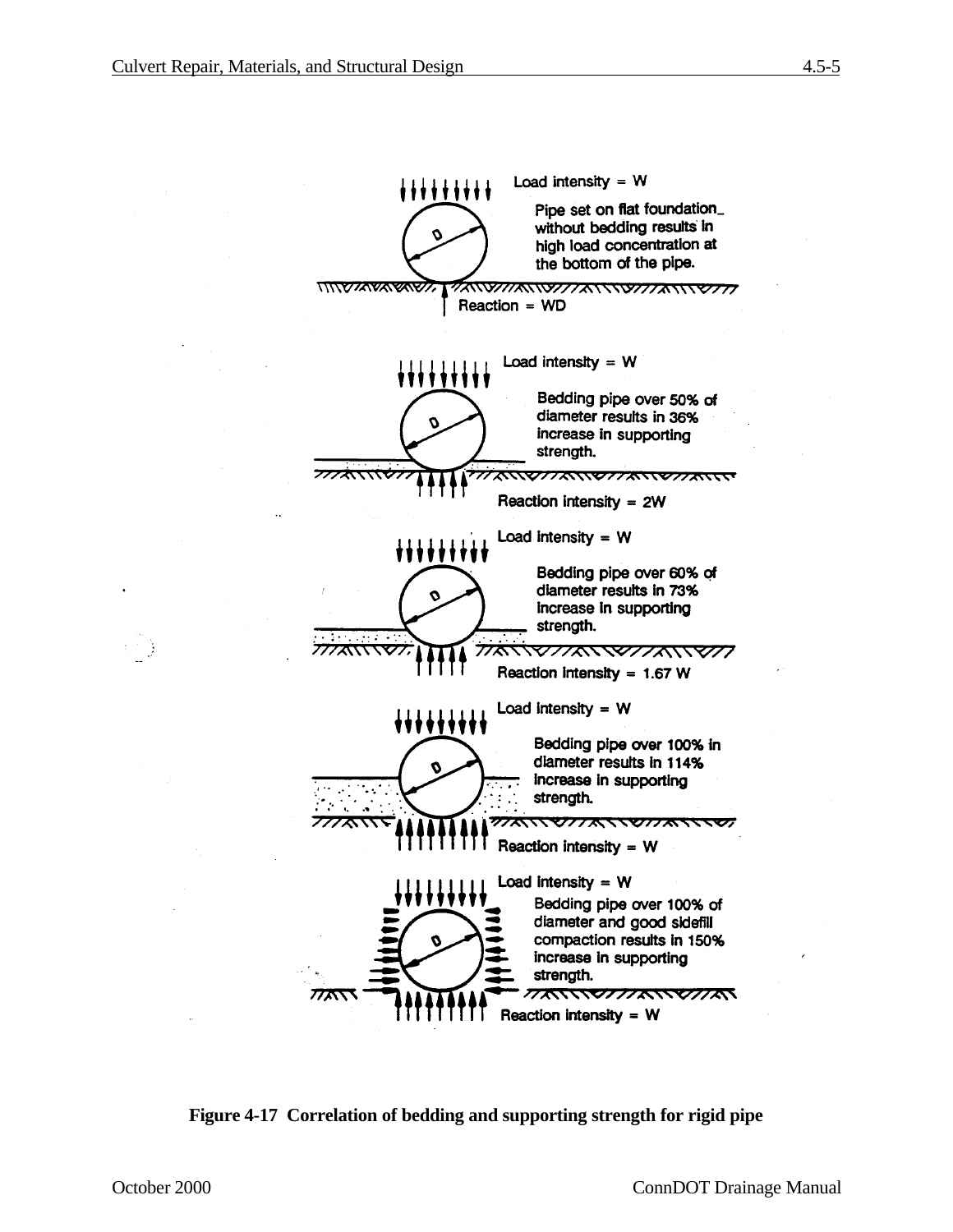

**Figure 4-17 Correlation of bedding and supporting strength for rigid pipe**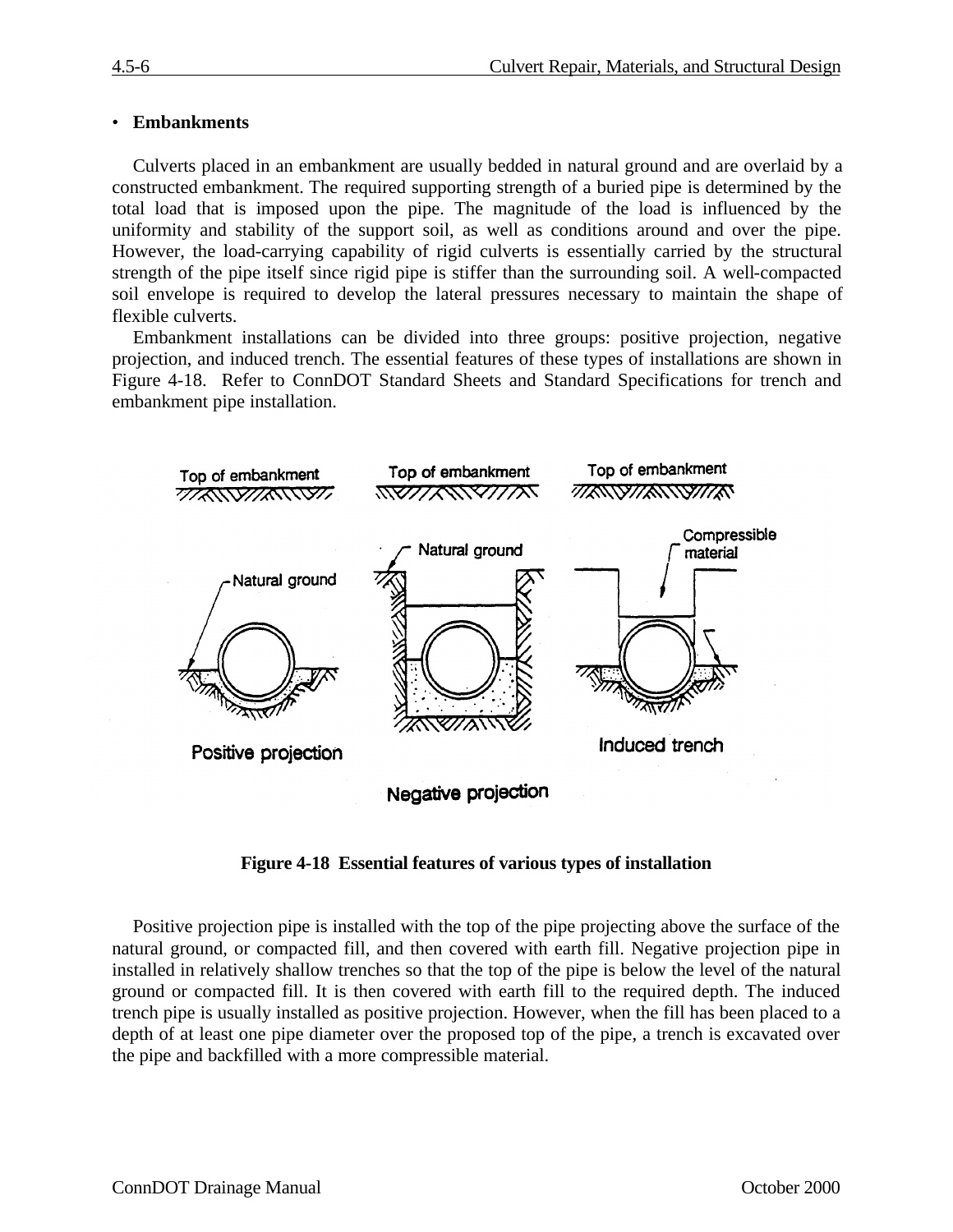### • **Embankments**

Culverts placed in an embankment are usually bedded in natural ground and are overlaid by a constructed embankment. The required supporting strength of a buried pipe is determined by the total load that is imposed upon the pipe. The magnitude of the load is influenced by the uniformity and stability of the support soil, as well as conditions around and over the pipe. However, the load-carrying capability of rigid culverts is essentially carried by the structural strength of the pipe itself since rigid pipe is stiffer than the surrounding soil. A well-compacted soil envelope is required to develop the lateral pressures necessary to maintain the shape of flexible culverts.

Embankment installations can be divided into three groups: positive projection, negative projection, and induced trench. The essential features of these types of installations are shown in Figure 4-18. Refer to ConnDOT Standard Sheets and Standard Specifications for trench and embankment pipe installation.



**Figure 4-18 Essential features of various types of installation**

Positive projection pipe is installed with the top of the pipe projecting above the surface of the natural ground, or compacted fill, and then covered with earth fill. Negative projection pipe in installed in relatively shallow trenches so that the top of the pipe is below the level of the natural ground or compacted fill. It is then covered with earth fill to the required depth. The induced trench pipe is usually installed as positive projection. However, when the fill has been placed to a depth of at least one pipe diameter over the proposed top of the pipe, a trench is excavated over the pipe and backfilled with a more compressible material.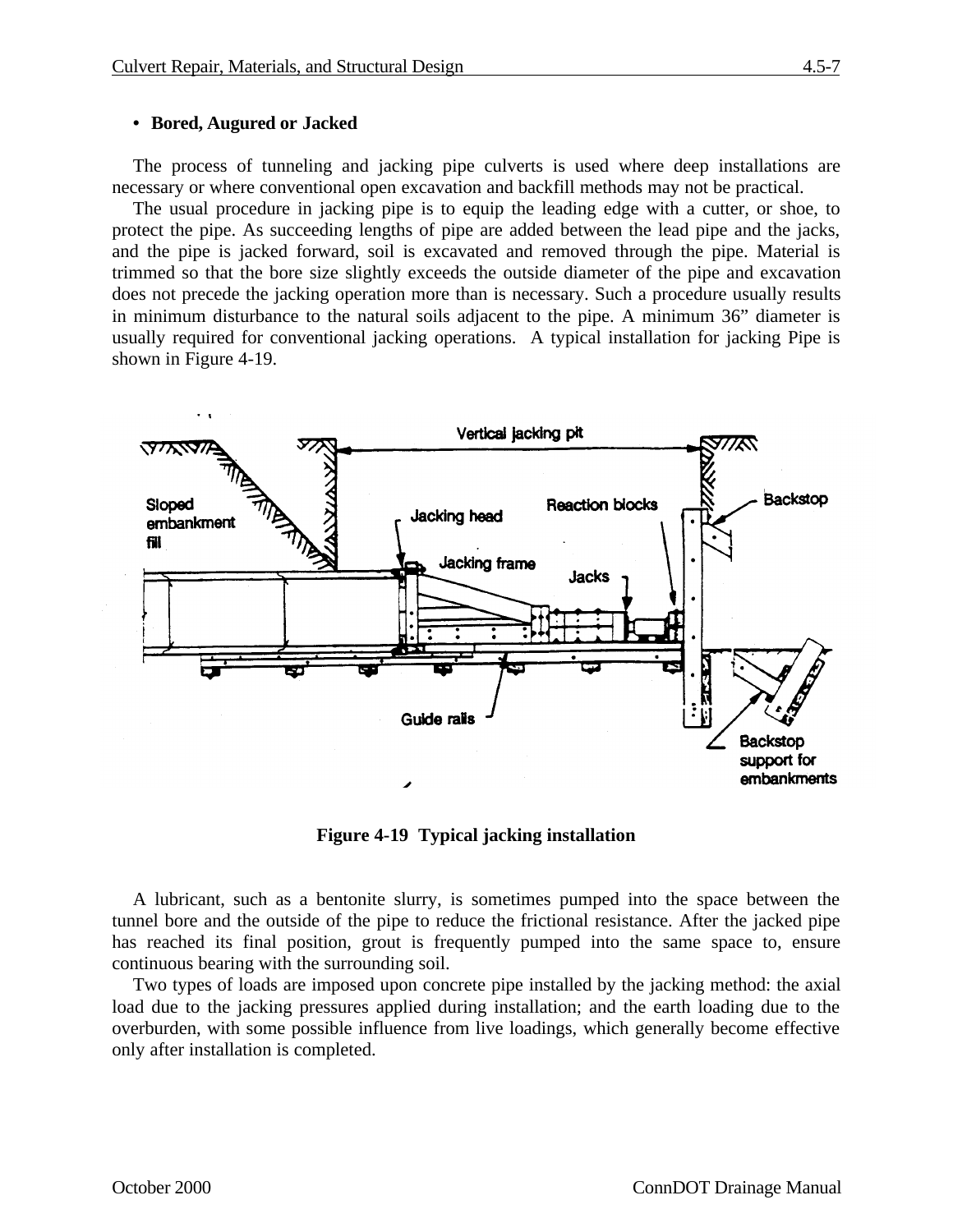#### **• Bored, Augured or Jacked**

The process of tunneling and jacking pipe culverts is used where deep installations are necessary or where conventional open excavation and backfill methods may not be practical.

The usual procedure in jacking pipe is to equip the leading edge with a cutter, or shoe, to protect the pipe. As succeeding lengths of pipe are added between the lead pipe and the jacks, and the pipe is jacked forward, soil is excavated and removed through the pipe. Material is trimmed so that the bore size slightly exceeds the outside diameter of the pipe and excavation does not precede the jacking operation more than is necessary. Such a procedure usually results in minimum disturbance to the natural soils adjacent to the pipe. A minimum 36" diameter is usually required for conventional jacking operations. A typical installation for jacking Pipe is shown in Figure 4-19.



**Figure 4-19 Typical jacking installation**

A lubricant, such as a bentonite slurry, is sometimes pumped into the space between the tunnel bore and the outside of the pipe to reduce the frictional resistance. After the jacked pipe has reached its final position, grout is frequently pumped into the same space to, ensure continuous bearing with the surrounding soil.

Two types of loads are imposed upon concrete pipe installed by the jacking method: the axial load due to the jacking pressures applied during installation; and the earth loading due to the overburden, with some possible influence from live loadings, which generally become effective only after installation is completed.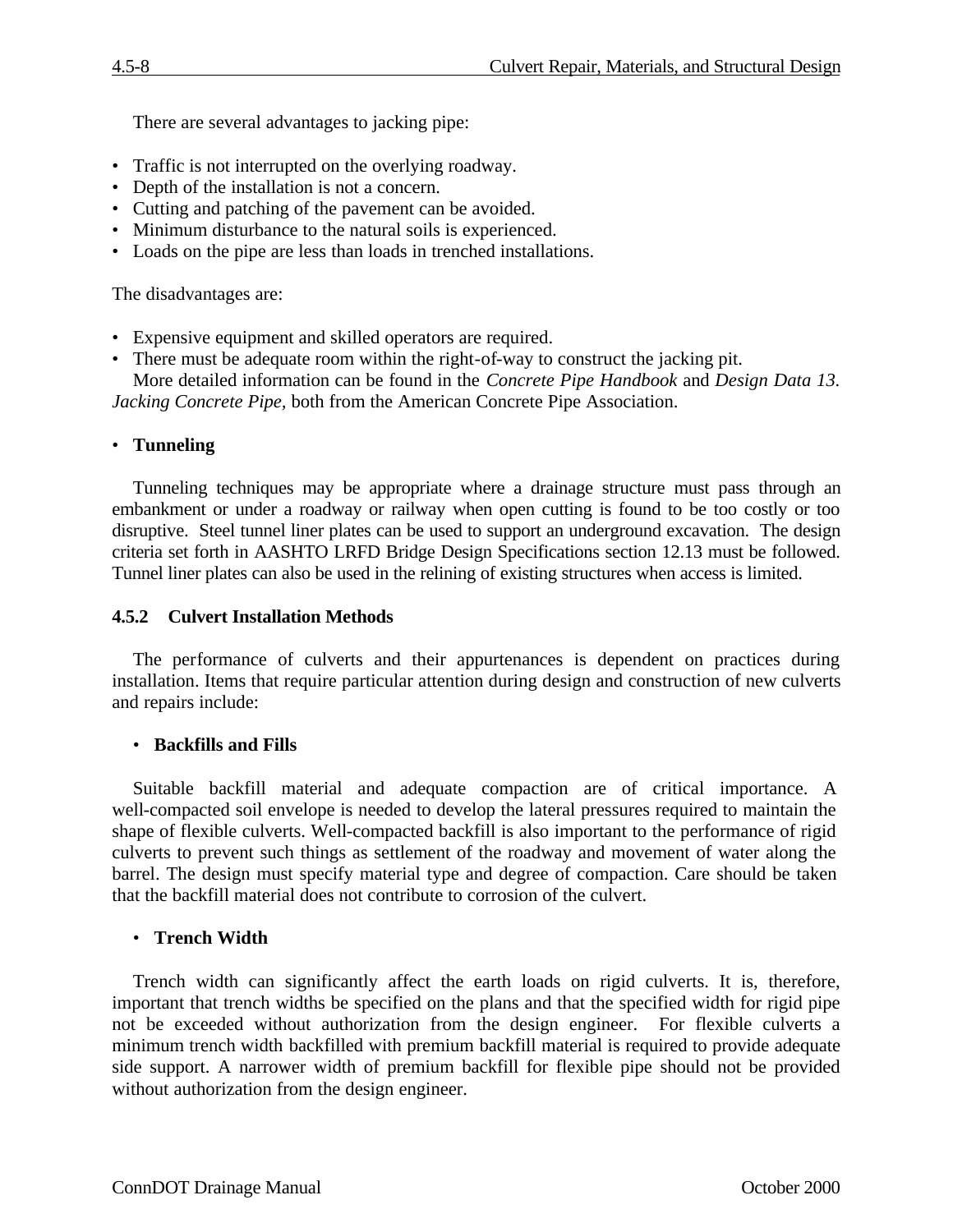There are several advantages to jacking pipe:

- Traffic is not interrupted on the overlying roadway.
- Depth of the installation is not a concern.
- Cutting and patching of the pavement can be avoided.
- Minimum disturbance to the natural soils is experienced.
- Loads on the pipe are less than loads in trenched installations.

The disadvantages are:

- Expensive equipment and skilled operators are required.
- There must be adequate room within the right-of-way to construct the jacking pit. More detailed information can be found in the *Concrete Pipe Handbook* and *Design Data 13.*

*Jacking Concrete Pipe,* both from the American Concrete Pipe Association.

# • **Tunneling**

Tunneling techniques may be appropriate where a drainage structure must pass through an embankment or under a roadway or railway when open cutting is found to be too costly or too disruptive. Steel tunnel liner plates can be used to support an underground excavation. The design criteria set forth in AASHTO LRFD Bridge Design Specifications section 12.13 must be followed. Tunnel liner plates can also be used in the relining of existing structures when access is limited.

## **4.5.2 Culvert Installation Methods**

The performance of culverts and their appurtenances is dependent on practices during installation. Items that require particular attention during design and construction of new culverts and repairs include:

### • **Backfills and Fills**

Suitable backfill material and adequate compaction are of critical importance. A well-compacted soil envelope is needed to develop the lateral pressures required to maintain the shape of flexible culverts. Well-compacted backfill is also important to the performance of rigid culverts to prevent such things as settlement of the roadway and movement of water along the barrel. The design must specify material type and degree of compaction. Care should be taken that the backfill material does not contribute to corrosion of the culvert.

### • **Trench Width**

Trench width can significantly affect the earth loads on rigid culverts. It is, therefore, important that trench widths be specified on the plans and that the specified width for rigid pipe not be exceeded without authorization from the design engineer. For flexible culverts a minimum trench width backfilled with premium backfill material is required to provide adequate side support. A narrower width of premium backfill for flexible pipe should not be provided without authorization from the design engineer.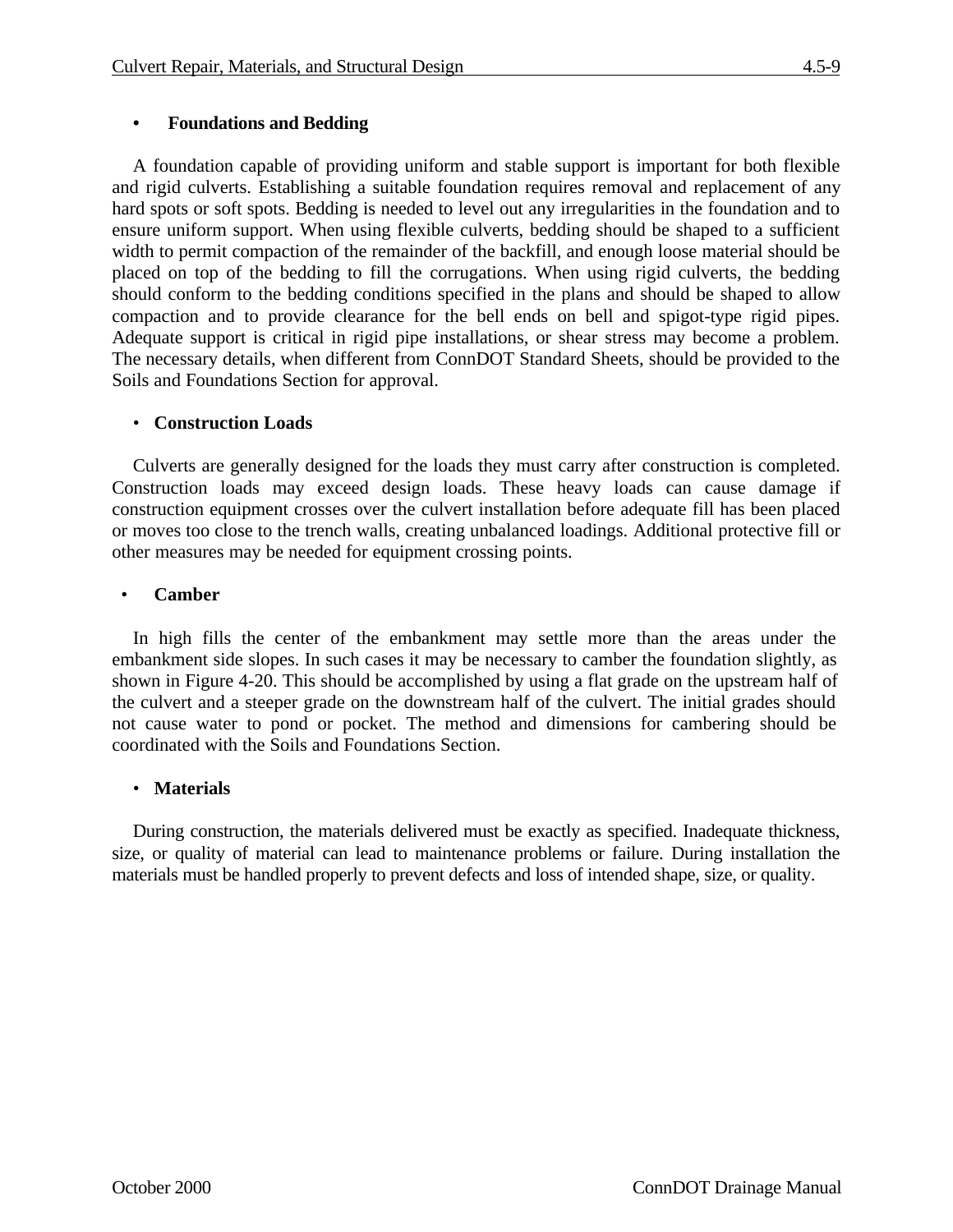# **• Foundations and Bedding**

A foundation capable of providing uniform and stable support is important for both flexible and rigid culverts. Establishing a suitable foundation requires removal and replacement of any hard spots or soft spots. Bedding is needed to level out any irregularities in the foundation and to ensure uniform support. When using flexible culverts, bedding should be shaped to a sufficient width to permit compaction of the remainder of the backfill, and enough loose material should be placed on top of the bedding to fill the corrugations. When using rigid culverts, the bedding should conform to the bedding conditions specified in the plans and should be shaped to allow compaction and to provide clearance for the bell ends on bell and spigot-type rigid pipes. Adequate support is critical in rigid pipe installations, or shear stress may become a problem. The necessary details, when different from ConnDOT Standard Sheets, should be provided to the Soils and Foundations Section for approval.

### • **Construction Loads**

Culverts are generally designed for the loads they must carry after construction is completed. Construction loads may exceed design loads. These heavy loads can cause damage if construction equipment crosses over the culvert installation before adequate fill has been placed or moves too close to the trench walls, creating unbalanced loadings. Additional protective fill or other measures may be needed for equipment crossing points.

### • **Camber**

In high fills the center of the embankment may settle more than the areas under the embankment side slopes. In such cases it may be necessary to camber the foundation slightly, as shown in Figure 4-20. This should be accomplished by using a flat grade on the upstream half of the culvert and a steeper grade on the downstream half of the culvert. The initial grades should not cause water to pond or pocket. The method and dimensions for cambering should be coordinated with the Soils and Foundations Section.

### • **Materials**

During construction, the materials delivered must be exactly as specified. Inadequate thickness, size, or quality of material can lead to maintenance problems or failure. During installation the materials must be handled properly to prevent defects and loss of intended shape, size, or quality.